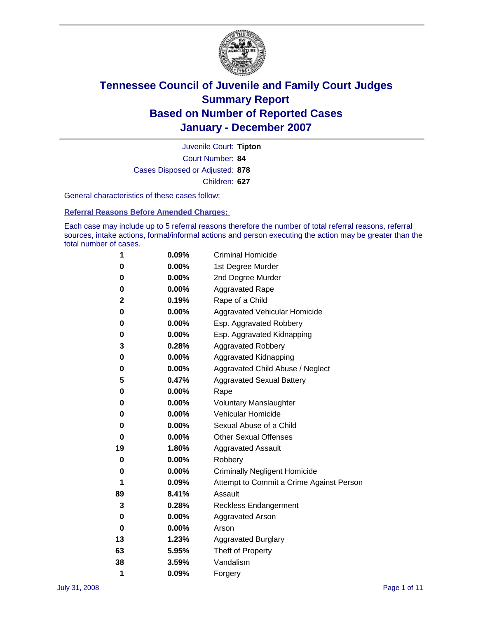

Court Number: **84** Juvenile Court: **Tipton** Cases Disposed or Adjusted: **878** Children: **627**

General characteristics of these cases follow:

**Referral Reasons Before Amended Charges:** 

Each case may include up to 5 referral reasons therefore the number of total referral reasons, referral sources, intake actions, formal/informal actions and person executing the action may be greater than the total number of cases.

| 1  | 0.09%    | <b>Criminal Homicide</b>                 |
|----|----------|------------------------------------------|
| 0  | 0.00%    | 1st Degree Murder                        |
| 0  | $0.00\%$ | 2nd Degree Murder                        |
| 0  | 0.00%    | <b>Aggravated Rape</b>                   |
| 2  | 0.19%    | Rape of a Child                          |
| 0  | $0.00\%$ | Aggravated Vehicular Homicide            |
| 0  | 0.00%    | Esp. Aggravated Robbery                  |
| 0  | $0.00\%$ | Esp. Aggravated Kidnapping               |
| 3  | 0.28%    | <b>Aggravated Robbery</b>                |
| 0  | 0.00%    | Aggravated Kidnapping                    |
| 0  | $0.00\%$ | Aggravated Child Abuse / Neglect         |
| 5  | 0.47%    | <b>Aggravated Sexual Battery</b>         |
| 0  | 0.00%    | Rape                                     |
| 0  | 0.00%    | <b>Voluntary Manslaughter</b>            |
| 0  | 0.00%    | Vehicular Homicide                       |
| 0  | $0.00\%$ | Sexual Abuse of a Child                  |
| 0  | 0.00%    | <b>Other Sexual Offenses</b>             |
| 19 | 1.80%    | <b>Aggravated Assault</b>                |
| 0  | 0.00%    | Robbery                                  |
| 0  | 0.00%    | <b>Criminally Negligent Homicide</b>     |
| 1  | 0.09%    | Attempt to Commit a Crime Against Person |
| 89 | 8.41%    | Assault                                  |
| 3  | 0.28%    | <b>Reckless Endangerment</b>             |
| 0  | 0.00%    | <b>Aggravated Arson</b>                  |
| 0  | 0.00%    | Arson                                    |
| 13 | 1.23%    | <b>Aggravated Burglary</b>               |
| 63 | 5.95%    | Theft of Property                        |
| 38 | 3.59%    | Vandalism                                |
| 1  | 0.09%    | Forgery                                  |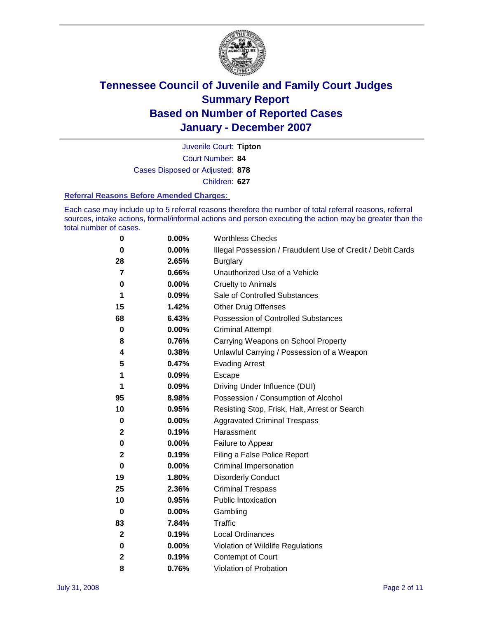

Court Number: **84** Juvenile Court: **Tipton** Cases Disposed or Adjusted: **878** Children: **627**

#### **Referral Reasons Before Amended Charges:**

Each case may include up to 5 referral reasons therefore the number of total referral reasons, referral sources, intake actions, formal/informal actions and person executing the action may be greater than the total number of cases.

| 0              | 0.00%    | <b>Worthless Checks</b>                                     |
|----------------|----------|-------------------------------------------------------------|
| 0              | 0.00%    | Illegal Possession / Fraudulent Use of Credit / Debit Cards |
| 28             | 2.65%    | <b>Burglary</b>                                             |
| $\overline{7}$ | 0.66%    | Unauthorized Use of a Vehicle                               |
| 0              | 0.00%    | <b>Cruelty to Animals</b>                                   |
| 1              | 0.09%    | Sale of Controlled Substances                               |
| 15             | 1.42%    | <b>Other Drug Offenses</b>                                  |
| 68             | 6.43%    | <b>Possession of Controlled Substances</b>                  |
| 0              | $0.00\%$ | <b>Criminal Attempt</b>                                     |
| 8              | 0.76%    | Carrying Weapons on School Property                         |
| 4              | 0.38%    | Unlawful Carrying / Possession of a Weapon                  |
| 5              | 0.47%    | <b>Evading Arrest</b>                                       |
| 1              | 0.09%    | <b>Escape</b>                                               |
| 1              | 0.09%    | Driving Under Influence (DUI)                               |
| 95             | 8.98%    | Possession / Consumption of Alcohol                         |
| 10             | 0.95%    | Resisting Stop, Frisk, Halt, Arrest or Search               |
| 0              | 0.00%    | <b>Aggravated Criminal Trespass</b>                         |
| $\mathbf 2$    | 0.19%    | Harassment                                                  |
| 0              | $0.00\%$ | Failure to Appear                                           |
| $\mathbf 2$    | 0.19%    | Filing a False Police Report                                |
| 0              | $0.00\%$ | Criminal Impersonation                                      |
| 19             | 1.80%    | <b>Disorderly Conduct</b>                                   |
| 25             | 2.36%    | <b>Criminal Trespass</b>                                    |
| 10             | 0.95%    | <b>Public Intoxication</b>                                  |
| 0              | $0.00\%$ | Gambling                                                    |
| 83             | 7.84%    | Traffic                                                     |
| $\mathbf{2}$   | 0.19%    | Local Ordinances                                            |
| 0              | 0.00%    | Violation of Wildlife Regulations                           |
| $\mathbf 2$    | 0.19%    | Contempt of Court                                           |
| 8              | 0.76%    | Violation of Probation                                      |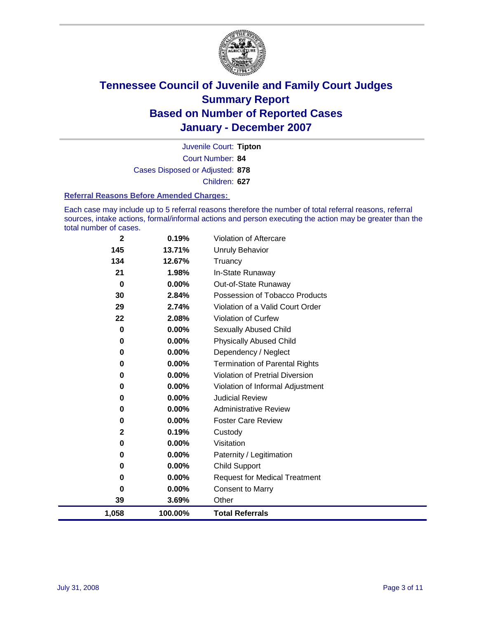

Court Number: **84** Juvenile Court: **Tipton** Cases Disposed or Adjusted: **878** Children: **627**

#### **Referral Reasons Before Amended Charges:**

Each case may include up to 5 referral reasons therefore the number of total referral reasons, referral sources, intake actions, formal/informal actions and person executing the action may be greater than the total number of cases.

| $\mathbf{2}$ | 0.19%    | Violation of Aftercare                 |
|--------------|----------|----------------------------------------|
| 145          | 13.71%   | Unruly Behavior                        |
| 134          | 12.67%   | Truancy                                |
| 21           | 1.98%    | In-State Runaway                       |
| $\bf{0}$     | 0.00%    | Out-of-State Runaway                   |
| 30           | 2.84%    | Possession of Tobacco Products         |
| 29           | 2.74%    | Violation of a Valid Court Order       |
| 22           | 2.08%    | Violation of Curfew                    |
| 0            | 0.00%    | <b>Sexually Abused Child</b>           |
| 0            | 0.00%    | <b>Physically Abused Child</b>         |
| 0            | 0.00%    | Dependency / Neglect                   |
| 0            | $0.00\%$ | <b>Termination of Parental Rights</b>  |
| 0            | 0.00%    | <b>Violation of Pretrial Diversion</b> |
| 0            | $0.00\%$ | Violation of Informal Adjustment       |
| 0            | 0.00%    | <b>Judicial Review</b>                 |
| 0            | 0.00%    | <b>Administrative Review</b>           |
| 0            | 0.00%    | <b>Foster Care Review</b>              |
| $\mathbf{2}$ | 0.19%    | Custody                                |
| 0            | 0.00%    | Visitation                             |
| 0            | 0.00%    | Paternity / Legitimation               |
| 0            | $0.00\%$ | <b>Child Support</b>                   |
| 0            | $0.00\%$ | <b>Request for Medical Treatment</b>   |
| 0            | 0.00%    | <b>Consent to Marry</b>                |
| 39           | 3.69%    | Other                                  |
| 1,058        | 100.00%  | <b>Total Referrals</b>                 |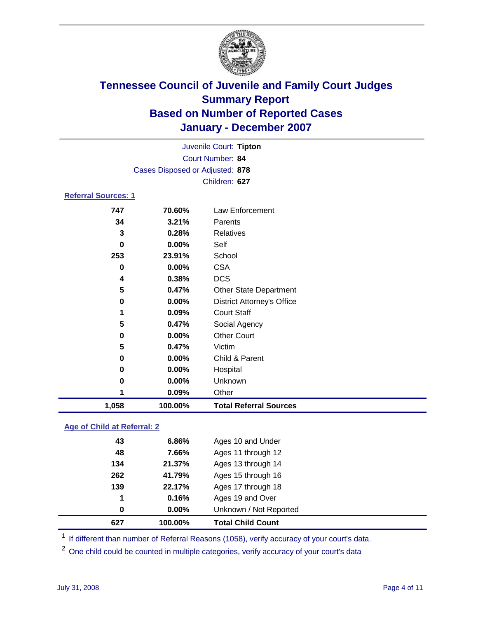

|                            |                                 | Juvenile Court: Tipton |  |  |  |
|----------------------------|---------------------------------|------------------------|--|--|--|
|                            | <b>Court Number: 84</b>         |                        |  |  |  |
|                            | Cases Disposed or Adjusted: 878 |                        |  |  |  |
|                            |                                 | Children: 627          |  |  |  |
| <b>Referral Sources: 1</b> |                                 |                        |  |  |  |
| 747                        | 70.60%                          | Law Enforcement        |  |  |  |
| 34                         | 3.21%                           | Parents                |  |  |  |
| 3                          | 0.28%                           | <b>Relatives</b>       |  |  |  |
| 0                          | $0.00\%$                        | Self                   |  |  |  |
|                            |                                 |                        |  |  |  |

| 4<br>5<br>$\mathbf 0$<br>1<br>5<br>0<br>5<br>0<br>0<br>0<br>1 | 0.00%<br>0.38%<br>0.47%<br>0.00%<br>0.09%<br>0.47%<br>0.00%<br>0.47%<br>0.00%<br>0.00%<br>0.00%<br>0.09% | <b>CSA</b><br><b>DCS</b><br><b>Other State Department</b><br><b>District Attorney's Office</b><br><b>Court Staff</b><br>Social Agency<br><b>Other Court</b><br>Victim<br>Child & Parent<br>Hospital<br>Unknown<br>Other |
|---------------------------------------------------------------|----------------------------------------------------------------------------------------------------------|-------------------------------------------------------------------------------------------------------------------------------------------------------------------------------------------------------------------------|
|                                                               |                                                                                                          |                                                                                                                                                                                                                         |
|                                                               |                                                                                                          |                                                                                                                                                                                                                         |
|                                                               |                                                                                                          |                                                                                                                                                                                                                         |
|                                                               |                                                                                                          |                                                                                                                                                                                                                         |
|                                                               |                                                                                                          |                                                                                                                                                                                                                         |
|                                                               |                                                                                                          |                                                                                                                                                                                                                         |
|                                                               |                                                                                                          |                                                                                                                                                                                                                         |
|                                                               |                                                                                                          |                                                                                                                                                                                                                         |
|                                                               |                                                                                                          |                                                                                                                                                                                                                         |
|                                                               |                                                                                                          |                                                                                                                                                                                                                         |
|                                                               |                                                                                                          |                                                                                                                                                                                                                         |
| $\mathbf 0$                                                   |                                                                                                          |                                                                                                                                                                                                                         |
| 253                                                           | 23.91%                                                                                                   | School                                                                                                                                                                                                                  |
| 0                                                             | 0.00%                                                                                                    | Self                                                                                                                                                                                                                    |
| 3                                                             | 0.28%                                                                                                    | Relatives                                                                                                                                                                                                               |
| 34                                                            | 3.21%                                                                                                    | Parents                                                                                                                                                                                                                 |
|                                                               |                                                                                                          |                                                                                                                                                                                                                         |
|                                                               |                                                                                                          |                                                                                                                                                                                                                         |

### **Age of Child at Referral: 2**

| 627      | 100.00%  | <b>Total Child Count</b> |
|----------|----------|--------------------------|
| $\bf{0}$ | $0.00\%$ | Unknown / Not Reported   |
| 1        | 0.16%    | Ages 19 and Over         |
| 139      | 22.17%   | Ages 17 through 18       |
| 262      | 41.79%   | Ages 15 through 16       |
| 134      | 21.37%   | Ages 13 through 14       |
| 48       | 7.66%    | Ages 11 through 12       |
| 43       | 6.86%    | Ages 10 and Under        |
|          |          |                          |

<sup>1</sup> If different than number of Referral Reasons (1058), verify accuracy of your court's data.

One child could be counted in multiple categories, verify accuracy of your court's data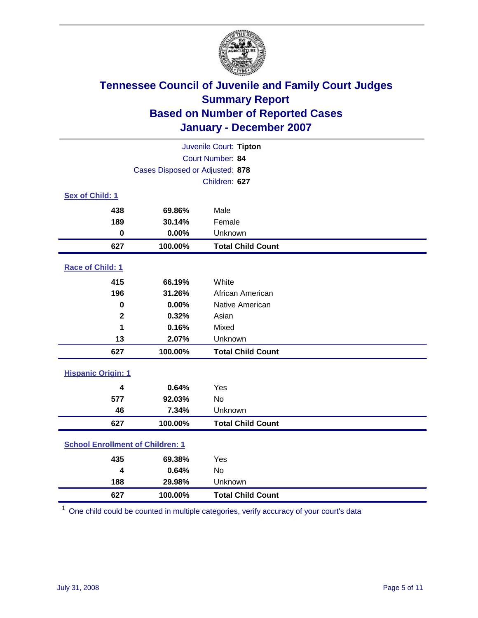

| Juvenile Court: Tipton                  |                                 |                          |  |  |  |
|-----------------------------------------|---------------------------------|--------------------------|--|--|--|
|                                         | Court Number: 84                |                          |  |  |  |
|                                         | Cases Disposed or Adjusted: 878 |                          |  |  |  |
|                                         |                                 | Children: 627            |  |  |  |
| Sex of Child: 1                         |                                 |                          |  |  |  |
| 438                                     | 69.86%                          | Male                     |  |  |  |
| 189                                     | 30.14%                          | Female                   |  |  |  |
| $\mathbf 0$                             | 0.00%                           | Unknown                  |  |  |  |
| 627                                     | 100.00%                         | <b>Total Child Count</b> |  |  |  |
| Race of Child: 1                        |                                 |                          |  |  |  |
| 415                                     | 66.19%                          | White                    |  |  |  |
| 196                                     | 31.26%                          | African American         |  |  |  |
| 0                                       | 0.00%                           | Native American          |  |  |  |
| $\mathbf{2}$                            | 0.32%                           | Asian                    |  |  |  |
| 1                                       | 0.16%                           | Mixed                    |  |  |  |
| 13                                      | 2.07%                           | Unknown                  |  |  |  |
| 627                                     | 100.00%                         | <b>Total Child Count</b> |  |  |  |
| <b>Hispanic Origin: 1</b>               |                                 |                          |  |  |  |
| 4                                       | 0.64%                           | Yes                      |  |  |  |
| 577                                     | 92.03%                          | <b>No</b>                |  |  |  |
| 46                                      | 7.34%                           | Unknown                  |  |  |  |
| 627                                     | 100.00%                         | <b>Total Child Count</b> |  |  |  |
| <b>School Enrollment of Children: 1</b> |                                 |                          |  |  |  |
| 435                                     | 69.38%                          | Yes                      |  |  |  |
| 4                                       | 0.64%                           | No                       |  |  |  |
| 188                                     | 29.98%                          | Unknown                  |  |  |  |
| 627                                     | 100.00%                         | <b>Total Child Count</b> |  |  |  |

One child could be counted in multiple categories, verify accuracy of your court's data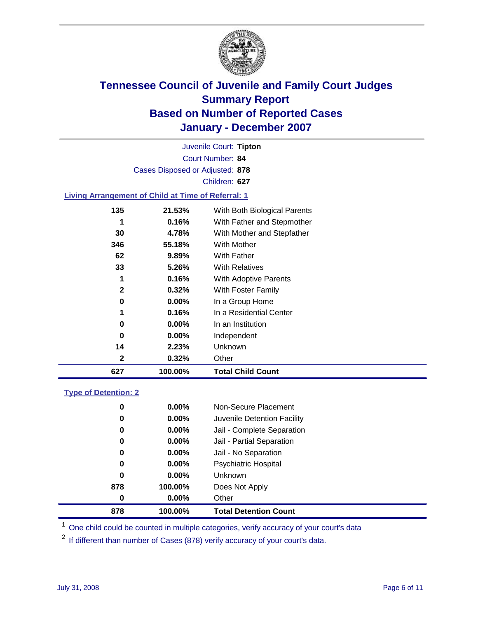

Court Number: **84** Juvenile Court: **Tipton** Cases Disposed or Adjusted: **878** Children: **627**

#### **Living Arrangement of Child at Time of Referral: 1**

| 627 | 100.00%  | <b>Total Child Count</b>     |
|-----|----------|------------------------------|
| 2   | 0.32%    | Other                        |
| 14  | 2.23%    | Unknown                      |
| 0   | $0.00\%$ | Independent                  |
| 0   | $0.00\%$ | In an Institution            |
|     | 0.16%    | In a Residential Center      |
| 0   | 0.00%    | In a Group Home              |
| 2   | 0.32%    | With Foster Family           |
| 1   | 0.16%    | With Adoptive Parents        |
| 33  | 5.26%    | <b>With Relatives</b>        |
| 62  | 9.89%    | With Father                  |
| 346 | 55.18%   | With Mother                  |
| 30  | 4.78%    | With Mother and Stepfather   |
|     | 0.16%    | With Father and Stepmother   |
| 135 | 21.53%   | With Both Biological Parents |
|     |          |                              |

#### **Type of Detention: 2**

| 878 | 100.00%  | <b>Total Detention Count</b> |
|-----|----------|------------------------------|
| 0   | $0.00\%$ | Other                        |
| 878 | 100.00%  | Does Not Apply               |
| 0   | $0.00\%$ | <b>Unknown</b>               |
| 0   | $0.00\%$ | <b>Psychiatric Hospital</b>  |
| 0   | 0.00%    | Jail - No Separation         |
| 0   | $0.00\%$ | Jail - Partial Separation    |
| 0   | $0.00\%$ | Jail - Complete Separation   |
| 0   | 0.00%    | Juvenile Detention Facility  |
| 0   | $0.00\%$ | Non-Secure Placement         |
|     |          |                              |

<sup>1</sup> One child could be counted in multiple categories, verify accuracy of your court's data

<sup>2</sup> If different than number of Cases (878) verify accuracy of your court's data.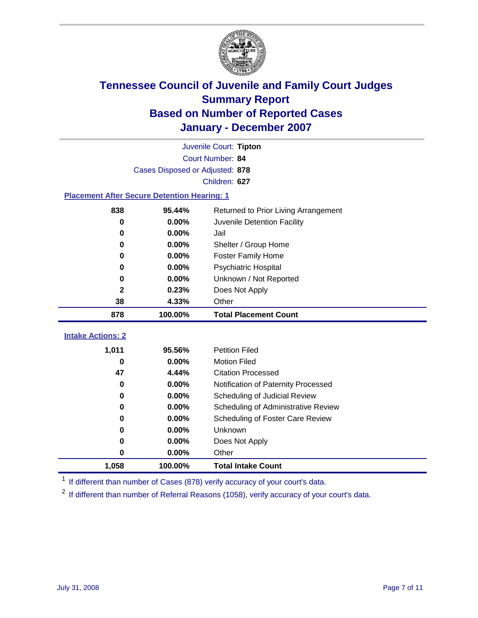

|                                                    | Juvenile Court: Tipton |                                      |  |  |  |  |
|----------------------------------------------------|------------------------|--------------------------------------|--|--|--|--|
|                                                    | Court Number: 84       |                                      |  |  |  |  |
| Cases Disposed or Adjusted: 878                    |                        |                                      |  |  |  |  |
| Children: 627                                      |                        |                                      |  |  |  |  |
| <b>Placement After Secure Detention Hearing: 1</b> |                        |                                      |  |  |  |  |
| 838                                                | 95.44%                 | Returned to Prior Living Arrangement |  |  |  |  |
| 0                                                  | 0.00%                  | Juvenile Detention Facility          |  |  |  |  |
| $\bf{0}$                                           | 0.00%                  | Jail                                 |  |  |  |  |
| 0                                                  | 0.00%                  | Shelter / Group Home                 |  |  |  |  |
| 0                                                  | 0.00%                  | <b>Foster Family Home</b>            |  |  |  |  |
| 0                                                  | 0.00%                  | <b>Psychiatric Hospital</b>          |  |  |  |  |
| 0                                                  | 0.00%                  | Unknown / Not Reported               |  |  |  |  |
| 2                                                  | 0.23%                  | Does Not Apply                       |  |  |  |  |
| 38                                                 | 4.33%                  | Other                                |  |  |  |  |
| 878                                                | 100.00%                | <b>Total Placement Count</b>         |  |  |  |  |
| <b>Intake Actions: 2</b>                           |                        |                                      |  |  |  |  |
|                                                    |                        |                                      |  |  |  |  |
| 1,011                                              | 95.56%                 | <b>Petition Filed</b>                |  |  |  |  |
| $\bf{0}$                                           | 0.00%                  | <b>Motion Filed</b>                  |  |  |  |  |
| 47                                                 | 4.44%                  | <b>Citation Processed</b>            |  |  |  |  |
| 0                                                  | 0.00%                  | Notification of Paternity Processed  |  |  |  |  |
| 0                                                  | 0.00%                  | Scheduling of Judicial Review        |  |  |  |  |
| 0                                                  | 0.00%                  | Scheduling of Administrative Review  |  |  |  |  |
| 0                                                  | 0.00%                  | Scheduling of Foster Care Review     |  |  |  |  |
| 0                                                  | 0.00%                  | Unknown                              |  |  |  |  |
| 0                                                  | 0.00%                  | Does Not Apply                       |  |  |  |  |
| 0                                                  | 0.00%                  | Other                                |  |  |  |  |
| 1,058                                              | 100.00%                | <b>Total Intake Count</b>            |  |  |  |  |

<sup>1</sup> If different than number of Cases (878) verify accuracy of your court's data.

<sup>2</sup> If different than number of Referral Reasons (1058), verify accuracy of your court's data.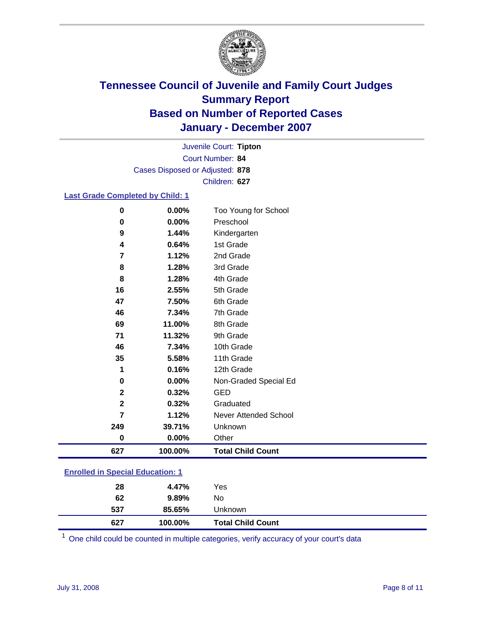

Court Number: **84** Juvenile Court: **Tipton** Cases Disposed or Adjusted: **878** Children: **627**

### **Last Grade Completed by Child: 1**

| 627            | 100.00% | <b>Total Child Count</b>     |
|----------------|---------|------------------------------|
| 0              | 0.00%   | Other                        |
| 249            | 39.71%  | Unknown                      |
| $\overline{7}$ | 1.12%   | <b>Never Attended School</b> |
| $\mathbf 2$    | 0.32%   | Graduated                    |
| $\mathbf 2$    | 0.32%   | <b>GED</b>                   |
| $\bf{0}$       | 0.00%   | Non-Graded Special Ed        |
| 1              | 0.16%   | 12th Grade                   |
| 35             | 5.58%   | 11th Grade                   |
| 46             | 7.34%   | 10th Grade                   |
| 71             | 11.32%  | 9th Grade                    |
| 69             | 11.00%  | 8th Grade                    |
| 46             | 7.34%   | 7th Grade                    |
| 47             | 7.50%   | 6th Grade                    |
| 16             | 2.55%   | 5th Grade                    |
| 8              | 1.28%   | 4th Grade                    |
| 8              | 1.28%   | 3rd Grade                    |
| 7              | 1.12%   | 2nd Grade                    |
| 4              | 0.64%   | 1st Grade                    |
| 9              | 1.44%   | Kindergarten                 |
| $\bf{0}$       | 0.00%   | Preschool                    |
| 0              | 0.00%   | Too Young for School         |

### **Enrolled in Special Education: 1**

| 627 | 100.00%  | <b>Total Child Count</b> |  |
|-----|----------|--------------------------|--|
| 537 | 85.65%   | Unknown                  |  |
| 62  | $9.89\%$ | No                       |  |
| 28  | 4.47%    | Yes                      |  |
|     |          |                          |  |

<sup>1</sup> One child could be counted in multiple categories, verify accuracy of your court's data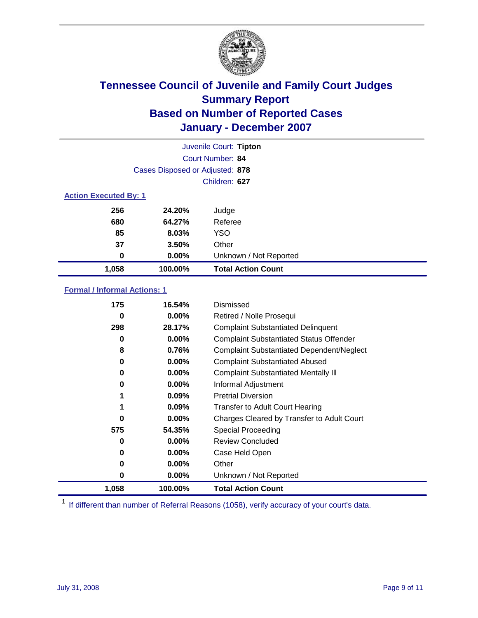

|                              |                                 | Juvenile Court: Tipton    |
|------------------------------|---------------------------------|---------------------------|
|                              |                                 | Court Number: 84          |
|                              | Cases Disposed or Adjusted: 878 |                           |
|                              |                                 | Children: 627             |
| <b>Action Executed By: 1</b> |                                 |                           |
| 256                          | 24.20%                          | Judge                     |
| 680                          | 64.27%                          | Referee                   |
| 85                           | 8.03%                           | <b>YSO</b>                |
| 37                           | 3.50%                           | Other                     |
| 0                            | $0.00\%$                        | Unknown / Not Reported    |
| 1,058                        | 100.00%                         | <b>Total Action Count</b> |

### **Formal / Informal Actions: 1**

| 175   | 16.54%   | Dismissed                                        |
|-------|----------|--------------------------------------------------|
| 0     | $0.00\%$ | Retired / Nolle Prosequi                         |
| 298   | 28.17%   | <b>Complaint Substantiated Delinquent</b>        |
| 0     | 0.00%    | <b>Complaint Substantiated Status Offender</b>   |
| 8     | 0.76%    | <b>Complaint Substantiated Dependent/Neglect</b> |
| 0     | $0.00\%$ | <b>Complaint Substantiated Abused</b>            |
| 0     | $0.00\%$ | <b>Complaint Substantiated Mentally III</b>      |
| 0     | $0.00\%$ | Informal Adjustment                              |
| 1     | $0.09\%$ | <b>Pretrial Diversion</b>                        |
|       | 0.09%    | <b>Transfer to Adult Court Hearing</b>           |
| 0     | $0.00\%$ | Charges Cleared by Transfer to Adult Court       |
| 575   | 54.35%   | Special Proceeding                               |
| 0     | $0.00\%$ | <b>Review Concluded</b>                          |
| 0     | $0.00\%$ | Case Held Open                                   |
| 0     | $0.00\%$ | Other                                            |
| 0     | $0.00\%$ | Unknown / Not Reported                           |
| 1,058 | 100.00%  | <b>Total Action Count</b>                        |

<sup>1</sup> If different than number of Referral Reasons (1058), verify accuracy of your court's data.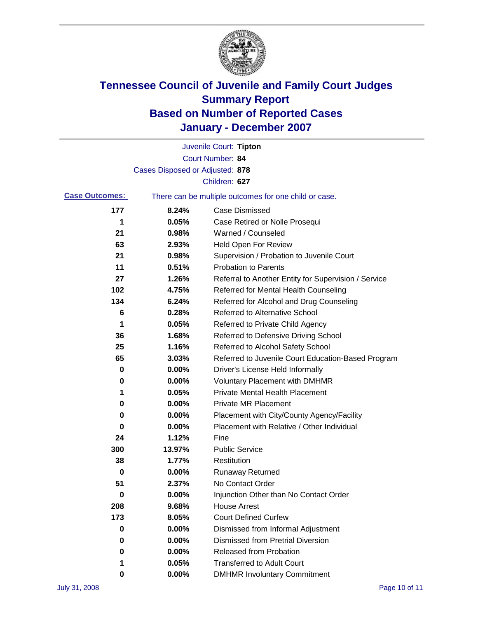

|                       |                                 | Juvenile Court: Tipton                                |
|-----------------------|---------------------------------|-------------------------------------------------------|
|                       |                                 | Court Number: 84                                      |
|                       | Cases Disposed or Adjusted: 878 |                                                       |
|                       |                                 | Children: 627                                         |
| <b>Case Outcomes:</b> |                                 | There can be multiple outcomes for one child or case. |
| 177                   | 8.24%                           | <b>Case Dismissed</b>                                 |
| 1                     | 0.05%                           | Case Retired or Nolle Prosequi                        |
| 21                    | 0.98%                           | Warned / Counseled                                    |
| 63                    | 2.93%                           | Held Open For Review                                  |
| 21                    | 0.98%                           | Supervision / Probation to Juvenile Court             |
| 11                    | 0.51%                           | <b>Probation to Parents</b>                           |
| 27                    | 1.26%                           | Referral to Another Entity for Supervision / Service  |
| 102                   | 4.75%                           | Referred for Mental Health Counseling                 |
| 134                   | 6.24%                           | Referred for Alcohol and Drug Counseling              |
| 6                     | 0.28%                           | <b>Referred to Alternative School</b>                 |
| 1                     | 0.05%                           | Referred to Private Child Agency                      |
| 36                    | 1.68%                           | Referred to Defensive Driving School                  |
| 25                    | 1.16%                           | Referred to Alcohol Safety School                     |
| 65                    | 3.03%                           | Referred to Juvenile Court Education-Based Program    |
| 0                     | 0.00%                           | Driver's License Held Informally                      |
| 0                     | 0.00%                           | <b>Voluntary Placement with DMHMR</b>                 |
| 1                     | 0.05%                           | <b>Private Mental Health Placement</b>                |
| 0                     | 0.00%                           | <b>Private MR Placement</b>                           |
| 0                     | 0.00%                           | Placement with City/County Agency/Facility            |
| 0                     | 0.00%                           | Placement with Relative / Other Individual            |
| 24                    | 1.12%                           | Fine                                                  |
| 300                   | 13.97%                          | <b>Public Service</b>                                 |
| 38                    | 1.77%                           | Restitution                                           |
| 0                     | 0.00%                           | <b>Runaway Returned</b>                               |
| 51                    | 2.37%                           | No Contact Order                                      |
| $\boldsymbol{0}$      | 0.00%                           | Injunction Other than No Contact Order                |
| 208                   | 9.68%                           | <b>House Arrest</b>                                   |
| 173                   | 8.05%                           | <b>Court Defined Curfew</b>                           |
| 0                     | 0.00%                           | Dismissed from Informal Adjustment                    |
| 0                     | 0.00%                           | <b>Dismissed from Pretrial Diversion</b>              |
| 0                     | 0.00%                           | Released from Probation                               |
| 1                     | 0.05%                           | <b>Transferred to Adult Court</b>                     |
| 0                     | $0.00\%$                        | <b>DMHMR Involuntary Commitment</b>                   |